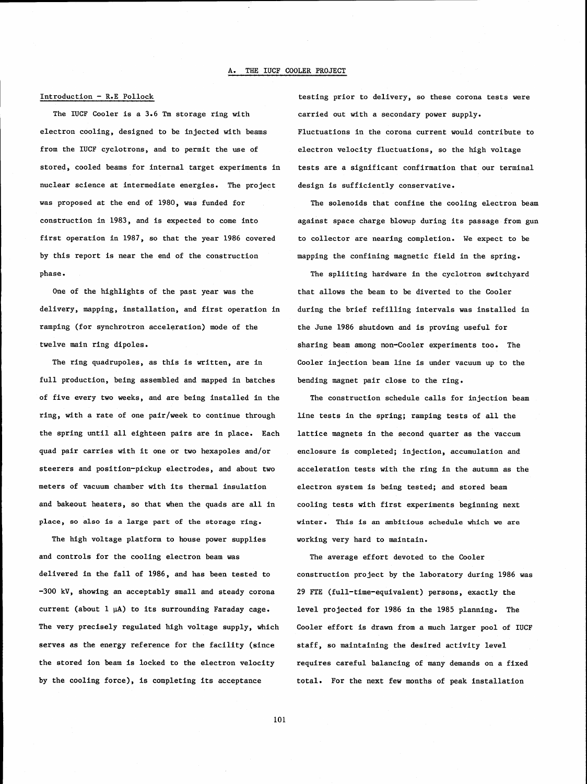# $Introduction - R.E$  Pollock

The IUCF Cooler is a  $3.6$  Tm storage ring with electron cooling, designed to be injected with beams from the IUCF cyclotrons, and to permit the use of stored, cooled beams for internal target experiments in nuclear science at intermediate energies. The project was proposed at the end of 1980, was funded for construction in 1983, and is expected to come into first operation in 1987, so that the year 1986 covered by this report is near the end of the construction phase.

One of the highlights of the past year was the delivery, mapping, installation, and first operation in ramping (for synchrotron acceleration) mode of the twelve main ring dipoles.

The ring quadrupoles, as this is written, are in full production, being assembled and mapped in batches of five every two weeks, and are being installed in the ring, with a rate of one pair/week to continue through the spring until all eighteen pairs are in place. Each quad pair carries with it one or two hexapoles and/or steerers and position-pickup electrodes, and about two meters of vacuum chamber with its thermal insulation and bakeout heaters, so that when the quads are all in place, so also is a large part of the storage ring.

The high voltage platform to house power supplies and controls for the cooling electron beam was delivered in the fall of 1986, and has been tested to -300 kV, showing an acceptably small and steady corona current (about  $1 \mu A$ ) to its surrounding Faraday cage. The very precisely regulated high voltage supply, which serves as the energy reference for the facility (since the stored ion beam is locked to the electron velocity by the cooling force), is completing its acceptance

testing prior to delivery, so these corona tests were carried out with a secondary power supply. Fluctuations in the corona current would contribute to electron velocity fluctuations, so the high voltage tests are a significant confirmation that our terminal design is sufficiently conservative.

The solenoids that confine the cooling electron beam against space charge blowup during its passage from gun to collector are nearing completion. We expect to be mapping the confining magnetic field in the spring.

The spliiting hardware in the cyclotron switchyard that allows the beam to be diverted to the Cooler during the brief refilling intervals was installed in the June 1986 shutdown and is proving useful for sharing beam among non-Cooler experiments too. The Cooler injection beam line is under vacuum up to the bending magnet pair close to the ring.

The construction schedule calls for injection beam line tests in the spring; ramping tests of all the lattice magnets in the second quarter as the vaccum enclosure is completed; injection, accumulation and acceleration tests with the ring in the autumn as the electron system is being tested; and stored beam cooling tests with first experiments beginning next winter. This is an ambitious schedule which we are working very hard to maintain.

The average effort devoted to the Cooler construction project by the laboratory during 1986 was 29 FTE (full-time-equivalent) persons, exactly the level projected for 1986 in the 1985 planning. The Cooler effort is drawn from a much larger pool of IUCF staff, so maintaining the desired activity level requires careful balancing of many demands on a fixed total. For the next few months of peak installation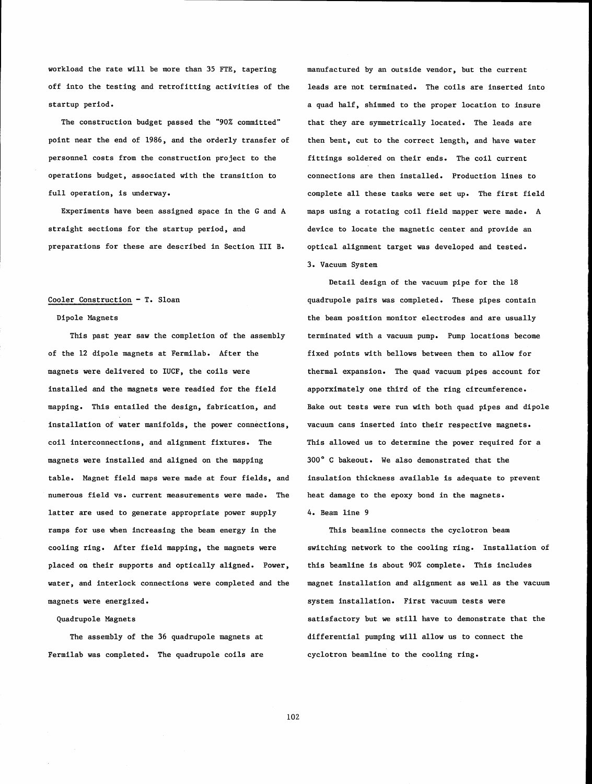workload the rate will be more than **35** FTE, tapering off into the testing and retrofitting activities of the startup period.

The construction budget passed the "90% committed" point near the end of 1986, and the orderly transfer of personnel costs from the construction project to the operations budget, associated with the transition to full operation, is underway.

Experiments have been assigned space in the G and A straight sections for the startup period, and preparations for these are described in Section **111** B.

# Cooler Construction - T. Sloan

### Dipole Magnets

This past year saw the completion of the assembly of the 12 dipole magnets at Fermilab. After the magnets were delivered to IUCF, the coils were installed and the magnets were readied for the field mapping. This entailed the design, fabrication, and installation of water manifolds, the power connections, coil interconnections, and alignment fixtures. The magnets were installed and aligned on the mapping table. Magnet field maps were made at four fields, and numerous field vs. current measurements were made. The latter are used to generate appropriate power supply ramps for use when increasing the beam energy in the cooling ring. After field mapping, the magnets were placed on their supports and optically aligned. Power, water, and interlock connections were completed and the magnets were energized.

### Quadrupole Magnets

The assembly of the **36** quadrupole magnets at Fermilab was completed. The quadrupole coils are

manufactured by an outside vendor, but the current leads are not terminated. The coils are inserted into a quad half, shimmed to the proper location to insure that they are symmetrically located. The leads are then bent, cut to the correct length, and have water fittings soldered on their ends. The coil current connections are then installed. Production lines to complete all these tasks were set up. The first field maps using a rotating coil field mapper were made. A device to locate the magnetic center and provide an optical alignment target was developed and tested. **3.** Vacuum System

Detail design of the vacuum pipe for the 18 quadrupole pairs was completed. These pipes contain the beam position monitor electrodes and are usually terminated with a vacuum pump. Pump locations become fixed points with bellows between them to allow for thermal expansion. The quad vacuum pipes account for apporximately one third of the ring circumference. Bake out tests were run with both quad pipes and dipole vacuum cans inserted into their respective magnets. This allowed us to determine the power required for a **300"** C bakeout. We also demonstrated that the insulation thickness available is adequate to prevent heat damage to the epoxy bond in the magnets. 4. Beam line 9

This beamline connects the cyclotron beam switching network to the cooling ring. Installation of this beamline is about 90% complete. This includes magnet installation and alignment as well as the vacuum system installation. First vacuum tests were satisfactory but we still have to demonstrate that the differential pumping will allow us to connect the cyclotron beamline to the cooling ring.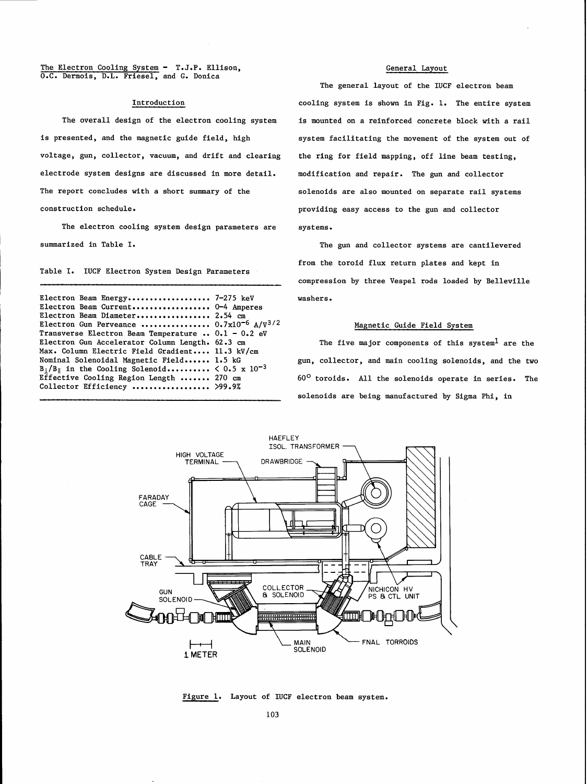The Electron Cooling System - T.J.P. Ellison, O.C. Dermois, D.L. Friesel, and G. Donica

# Introduction

The overall design of the electron cooling system is presented, and the magnetic guide field, high voltage, gun, collector, vacuum, and drift and clearing electrode system designs are discussed in more detail. The report concludes with a short summary of the construction schedule.

The electron cooling system design parameters are summarized in Table I.

Table I. IUCF Electron System Design Parameters

Electron Beam Energy.................... 7-275 keV Electron Beam Current.................. 0-4 Amperes Electron Beam Diameter................. 2.54 **cm**  Electron Gun Perveance ................ 0.7~10'~ A/v~/\* Transverse Electron Beam Temperature . . 0.1 - 0.2 eV Electron Gun Accelerator Column Length. 62.3 cm Max. Column Electric Field Gradient.... 11.3 kV/cm Nominal Solenoidal Magnetic Field...... 1.5 kG Nominal Solenoidal Magnetic Field...... 1.5 kG<br>B<sub>1</sub>/B<sub>I</sub> in the Cooling Solenoid........... < 0.5 x 10<sup>-5</sup>  $B_{\perp}/B_{\parallel}$  in the Cooling Solenoid..........  $< 0.5 \times$ <br>Effective Cooling Region Length ....... 270 cm Effective Cooling Region Length ....... 270 cm<br>Collector Efficiency .................. >99.9%

### General Layout

The general layout of the IUCF electron beam cooling system is shown in Fig. 1. The entire system is mounted on a reinforced concrete block with a rail system facilitating the movement of the system out of the ring for field mapping, off line beam testing, modification and repair. The gun and collector solenoids are also mounted on separate rail systems providing easy access to the gun and collector systems.

The gun and collector systems are cantilevered from the toroid flux return plates and kept in compression by three Vespel rods loaded by Belleville washers.

# Magnetic Guide Field System

The five major components of this system<sup>1</sup> are the gun, collector, and main cooling solenoids, and the two 60' toroids. All the solenoids operate in series. The solenoids are being manufactured by Sigma Phi, in



Figure 1. Layout of IUCF electron beam system.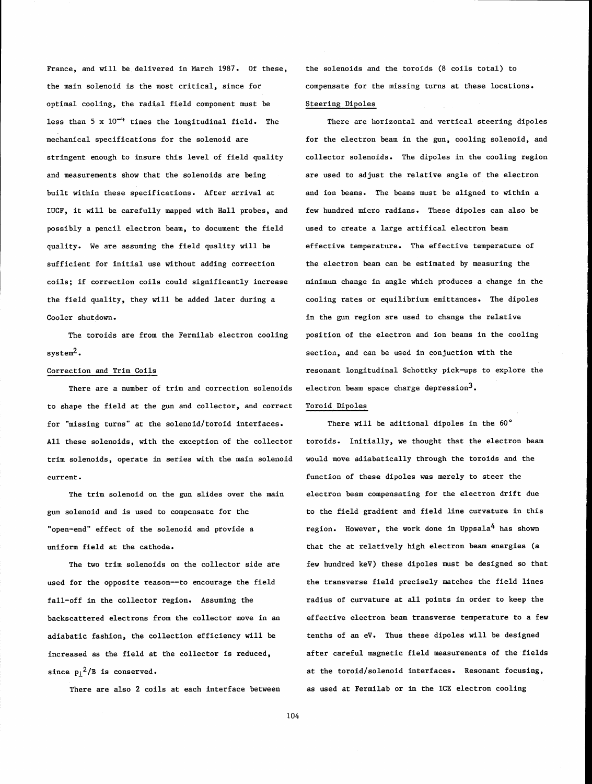France, and will be delivered in March 1987. Of these, the solenoids and the toroids (8 coils total) to the main solenoid is the most critical, since for compensate for the missing turns at these locations. optimal cooling, the radial field component must be less than  $5 \times 10^{-4}$  times the longitudinal field. The mechanical specifications for the solenoid are stringent enough to insure this level of field quality and measurements show that the solenoids are being built within these specifications. After arrival at IUCF, it will be carefully mapped with Hall probes, and possibly a pencil electron beam, to document the field quality. We are assuming the field quality will be sufficient for initial use without adding correction coils; if correction coils could significantly increase the field quality, they will be added later during a Cooler shutdown.

The toroids are from the Fermilab electron cooling system $^2$ .

#### Correction and Trim Coils

There are a number of trim and correction solenoids to shape the field at the gun and collector, and correct for "missing turns" at the solenoid/ toroid interfaces. All these solenoids, with the exception of the collector trim solenoids, operate in series with the main solenoid current.

The trim solenoid on the gun slides over the main gun solenoid and is used to compensate for the "open-end" effect of the solenoid and provide a uniform field at the cathode.

The two trim solenoids on the collector side are used for the opposite reason-to encourage the field fall-off in the collector region. Assuming the backscattered electrons from the collector move in an adiabatic fashion, the collection efficiency will be increased as the field at the collector is reduced, since  $p_1^2/B$  is conserved.

There are also 2 coils at each interface between

# Steering Dipoles

There are horizontal and vertical steering dipoles for the electron beam in the gun, cooling solenoid, and collector solenoids. The dipoles in the cooling region are used to adjust the relative angle of the electron and ion beams. The beams must be aligned to within a few hundred micro radians. These dipoles can also be used to create a large artifical electron beam effective temperature. The effective temperature of the electron beam can be estimated by measuring the minimum change in angle which produces a change in the cooling rates or equilibrium emittances. The dipoles in the gun region are used to change the relative position of the electron and ion beams in the cooling section, and can be used in conjuction with the resonant longitudinal Schottky pick-ups to explore the electron beam space charge depression<sup>3</sup>.

# Toroid Dipoles

There will be aditional dipoles in the 60° toroids. Initially, we thought that the electron beam would move adiabatically through the toroids and the function of these dipoles was merely to steer the electron beam compensating for the electron drift due to the field gradient and field line curvature in this region. However, the work done in Uppsala<sup>4</sup> has shown that the at relatively high electron beam energies (a few hundred keV) these dipoles must be designed so that the transverse field precisely matches the field lines radius of curvature at all points in order to keep the effective electron beam transverse temperature to a few tenths of an eV. Thus these dipoles will be designed after careful magnetic field measurements of the fields at the toroid/solenoid interfaces. Resonant focusing, as used at Fermilab or in the ICE electron cooling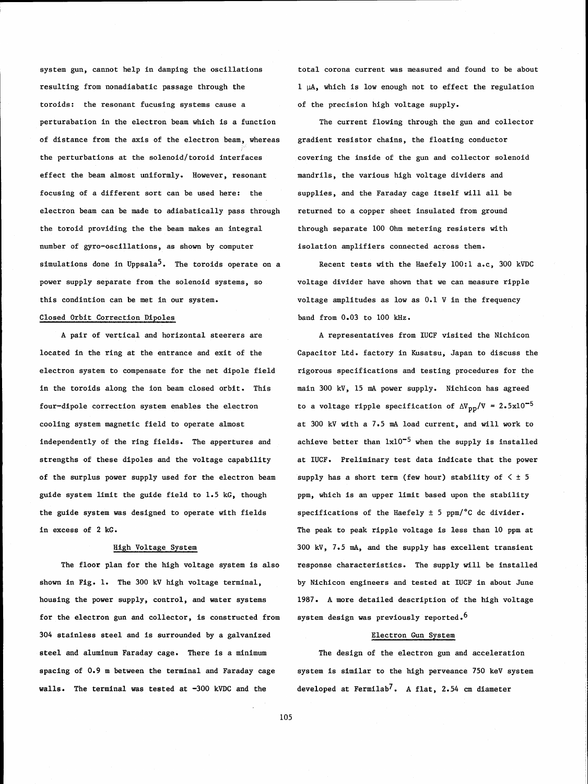system gun, cannot help in damping the oscillations total corona current was measured and found to be about resulting from nonadiabatic passage through the  $1 \mu A$ , which is low enough not to effect the regulation toroids: the resonant fucusing systems cause a of the precision high voltage supply. perturabation in the electron beam which is a function The current flowing through the gun and collector of distance from the axis of the electron beam, whereas gradient resistor chains, the floating conductor the perturbations at the solenoid/toroid interfaces covering the inside of the gun and collector solenoid effect the beam almost uniformly. However, resonant focusing of a different sort can be used here: the electron beam can be made to adiabatically pass through the toroid providing the the beam makes an integral number of gyro-oscillations, as shown by computer simulations done in Uppsala<sup>5</sup>. The toroids operate on a power supply separate from the solenoid systems, so this condintion can be met in our system.

# Closed Orbit Correction Dipoles

**A** pair of vertical and horizontal steerers are located in the ring at the entrance and exit of the electron system to compensate for the net dipole field in the toroids along the ion beam closed orbit. This four-dipole correction system enables the electron cooling system magnetic field to operate almost independently of the ring fields. The appertures and strengths of these dipoles and the voltage capability of the surplus power supply used for the electron beam guide system limit the guide field to 1.5 kG, though the guide system was designed to operate with fields in excess of 2 kG.

### High Voltage System

The floor plan for the high voltage system is also shown in Fig. 1. The 300 kV high voltage terminal, housing the power supply, control, and water systems for the electron gun and collector, is constructed from 304 stainless steel and is surrounded by a galvanized steel and aluminum Faraday cage. There is a minimum spacing of 0.9 m between the terminal and Faraday cage walls. The terminal was tested at -300 kVDC and the

mandrils, the various high voltage dividers and supplies, and the Faraday cage itself will all be returned to a copper sheet insulated from ground through separate 100 Ohm metering resisters with isolation amplifiers connected across them.

Recent tests with the Haefely 100:l a.c, 300 kVDC voltage divider have shown that we can measure ripple voltage amplitudes as low as 0.1 V in the frequency band from 0.03 to 100 kHz.

**A** representatives from IUCF visited the Nichicon Capacitor Ltd. factory in Kusatsu, Japan to discuss the rigorous specifications and testing procedures for the main 300 kV, 15 mA power supply. Nichicon has agreed to a voltage ripple specification of  $\Delta V_{\text{pp}}/V = 2.5 \times 10^{-5}$ at 300 kV with a 7.5 mA load current, and will work to achieve better than  $1x10^{-5}$  when the supply is installed at IUCF. Preliminary test data indicate that the power supply has a short term (few hour) stability of  $\leq$   $\pm$  5 ppm, which is an upper limit based upon the stability specifications of the Haefely  $\pm$  5 ppm/°C dc divider. The peak to peak ripple voltage is less than 10 ppm at 300 kV, 7.5 **mA,** and the supply has excellent transient response characteristics. The supply will be installed by Nichicon engineers and tested at IUCF in about June 1987. **A** more detailed description of the high voltage system design was previously reported.<sup>6</sup>

#### Electron Gun System

The design of the electron gun and acceleration system is similar to the high perveance 750 keV system developed at Fermilab7. **A** flat, 2.54 **cm** diameter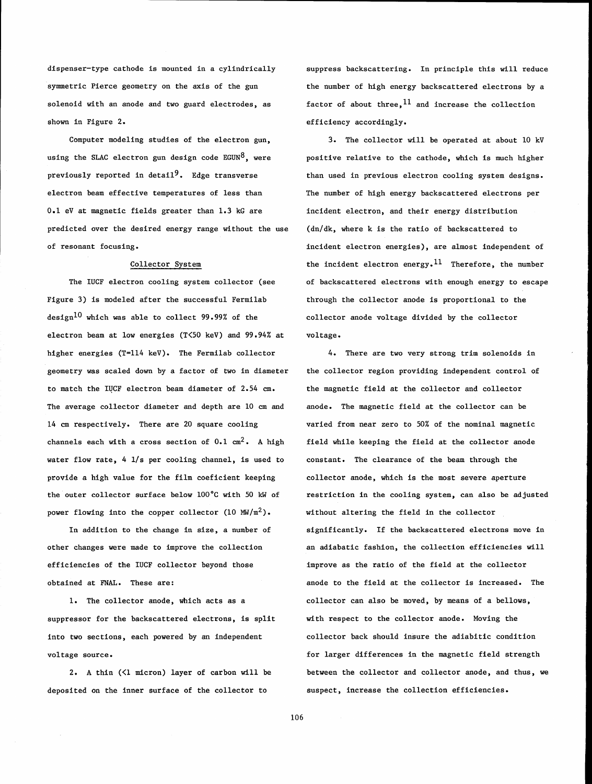dispenser-type cathode is mounted in a cylindrically symmetric Pierce geometry on the axis of the gun solenoid with an anode and two guard electrodes, as shown in Figure 2.

Computer modeling studies of the electron gun, using the SLAC electron gun design code  $EGUN<sup>8</sup>$ , were previously reported in detail<sup>9</sup>. Edge transverse electron beam effective temperatures of less than 0.1 eV at magnetic fields greater than 1.3 kG are predicted over the desired energy range without the use of resonant focusing.

#### Collector System

The IUCF electron cooling system collector (see Figure **3)** is modeled after the successful Fermilab design<sup>10</sup> which was able to collect 99.99% of the electron beam at low energies (T<50 keV) and 99.94% at higher energies (T=114 keV). The Fermilab collector geometry was scaled down by a factor of two in diameter to match the IUCF electron beam diameter of 2.54 cm. The average collector diameter and depth are 10 cm and 14 cm respectively. There are 20 square cooling channels each with a cross section of 0.1 cm2. **A** high water flow rate,  $4 \frac{1}{s}$  per cooling channel, is used to provide a high value for the film coeficient keeping the outer collector surface below 100°C with 50 **kW** of power flowing into the copper collector (10  $\text{MW/m}^2$ ).

In addition to the change in size, a number of other changes were made to improve the collection efficiencies of the IUCF collector beyond those obtained at FNAL. These are:

1. The collector anode, which acts as a suppressor for the backscattered electrons, is split into two sections, each powered by an independent voltage source.

2. **A** thin (<1 micron) layer of carbon will be deposited on the inner surface of the collector to

suppress backscattering. In principle this will reduce the number of high energy backscattered electrons by a factor of about three,  $^{11}$  and increase the collection efficiency accordingly.

3. The collector will be operated at about 10 kV positive relative to the cathode, which is much higher than used in previous electron cooling system designs. The number of high energy backscattered electrons per incident electron, and their energy distribution (dn/dk, where k is the ratio of backscattered to incident electron energies), are almost independent of the incident electron energy.<sup>11</sup> Therefore, the number of backscattered electrons with enough energy to escape through the collector anode is proportional to the collector anode voltage divided by the collector voltage.

4. There are two very strong trim solenoids in the collector region providing independent control of the magnetic field at the collector and collector anode. The magnetic field at the collector can be varied from near zero to 50% of the nominal magnetic field while keeping the field at the collector anode constant. The clearance of the beam through the collector anode, which is the most severe aperture restriction in the cooling system, can also be adjusted without altering the field in the collector significantly. If the backscattered electrons move in an adiabatic fashion, the collection efficiencies will improve as the ratio of the field at the collector anode to the field at the collector is increased. The collector can also be moved, by means of a bellows, with respect to the collector anode. Moving the collector back should insure the adiabitic condition for larger differences in the magnetic field strength between the collector and collector anode, and thus, we suspect, increase the collection efficiencies.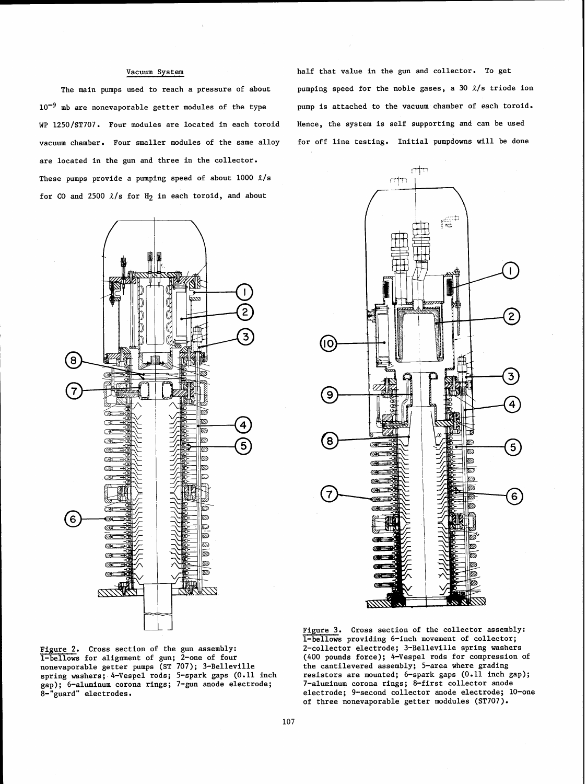$10^{-9}$  mb are nonevaporable getter modules of the type WP 1250/ST707. Four modules are located in each toroid vacuum chamber. Four smaller modules of the same alloy are located in the gun and three in the collector. These pumps provide a pumping speed of about  $1000 \lambda/s$ for CO and 2500  $\ell/s$  for H<sub>2</sub> in each toroid, and about

Vacuum System half that value in the gun and collector. To get The main pumps used to reach a pressure of about pumping speed for the noble gases, a 30  $\ell/s$  triode ion pump is attached to the vacuum chamber of each toroid. Hence, the system is self supporting and can be used for off line testing. Initial pumpdowns will be done





1-bellows for alignment of gun; 2-one of four (400 pounds force); 4-Vespel rods for compression onevaporable getter pumps (ST 707); 3-Belleville the cantilevered assembly; 5-area where grading nonevaporable getter pumps (ST 707); 3-Belleville the cantilevered assembly; 5-area where grading<br>spring washers: 4-Vespel rods; 5-spark gaps (0.11 inch fesistors are mounted; 6-spark gaps (0.11 inch gap); spring washers; 4-Vespel rods; 5-spark gaps (0.11 inch resistors are mounted; 6-spark gaps (0.11 inch gap); gap); 6-aluminum corona rings; 7-gun anode electrode; 7-alu~inum corona rings; 8-first collector anode

Figure 3. Cross section of the collector assembly: 1-bellows providing 6-inch movement of collector; Figure 2. Cross section of the gun assembly:<br>1-bellows for alignment of gun; 2-one of four (400 pounds force); 4-Vespel rods for compression of 8-"guard" electrodes. electrode; 9-second collector anode electrode; 10-one of three nonevaporable getter moddules (ST707).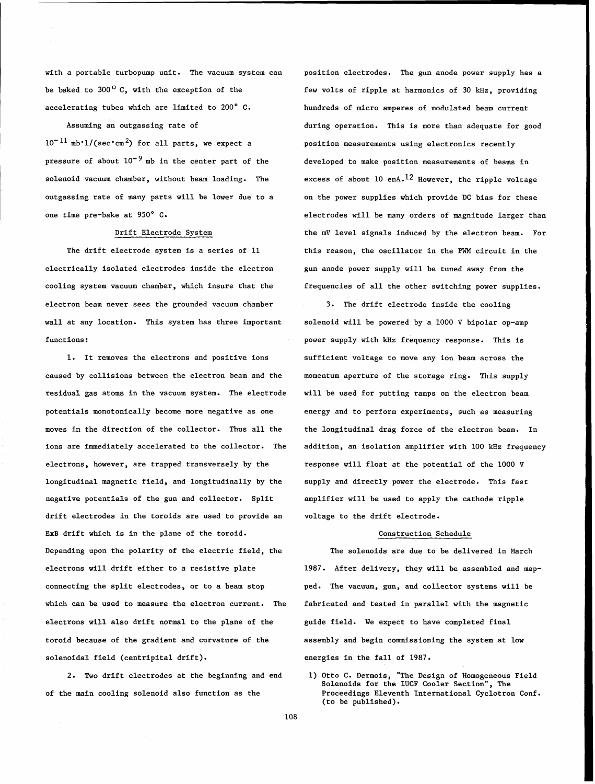be baked to 300<sup>o</sup> C, with the exception of the few volts of ripple at harmonics of 30 kHz, providing accelerating tubes which are limited to 200' C. hundreds of micro amperes of modulated beam current

 $10^{-11}$  mb<sup>\*</sup>1/(sec\*cm<sup>2</sup>) for all parts, we expect a position measurements using electronics recently pressure of about  $10^{-9}$  mb in the center part of the developed to make position measurements of beams in

electrically isolated electrodes inside the electron gun anode power supply will be tuned away from the electron beam never sees the grounded vacuum chamber **3.** The drift electrode inside the cooling wall at any location. This system has three important solenoid will be powered by a 1000 V bipolar op-amp functions: power supply with kHz frequency response. This is

caused by collisions between the electron beam and the momentum aperture of the storage ring. This supply residual gas atoms in the vacuum system. The electrode will be used for putting ramps on the electron beam potentials monotonically become more negative as one energy and to perform experiments, such as measuring moves in the direction of the collector. Thus all the the longitudinal drag force of the electron beam. In electrons, however, are trapped transversely by the response will float at the potential of the 1000 V longitudinal magnetic field, and longitudinally by the supply and directly power the electrode. This fast negative potentials of the gun and collector. Split amplifier will be used to apply the cathode ripple drift electrodes in the toroids are used to provide an voltage to the drift electrode. ExB drift which is in the plane of the toroid. Construction Schedule Depending upon the polarity of the electric field, the The solenoids are due to be delivered in March electrons will drift either to a resistive plate 1987. After delivery, they will be assembled and mapconnecting the split electrodes, or to a beam stop ped. The vacuum, gun, and collector systems will be which can be used to measure the electron current. The fabricated and tested in parallel with the magnetic electrons will also drift normal to the plane of the guide field. We expect to have completed final toroid because of the gradient and curvature of the assembly and begin commissioning the system at low solenoidal field (centripital drift). energies in the fall of 1987.

of the main cooling solenoid also function as the Proceedings Eleventh International Cyclotron Conf.

with a portable turbopump unit. The vacuum system can position electrodes. The gun anode power supply has a Assuming an outgassing rate of during operation. This is more than adequate for good solenoid vacuum chamber, without beam loading. The excess of about 10 enA.<sup>12</sup> However, the ripple voltage outgassing rate of many parts will be lower due to a on the power supplies which provide DC bias for these one time pre-bake at 950° C.<br>
electrodes will be many orders of magnitude larger than Drift Electrode System The mV level signals induced by the electron beam. For The drift electrode system is a series of 11 this reason, the oscillator in the PWM circuit in the cooling system vacuum chamber, which insure that the frequencies of all the other switching power supplies.

1. It removes the electrons and positive ions sufficient voltage to move any ion beam across the ions are immediately accelerated to the collector. The addition, an isolation amplifier with 100 kHz frequency

2. Two drift electrodes at the beginning and end 1) Otto **C.** Dermois, "The Design of Homogeneous Field Solenoids for the IUCF Cooler Section", The (to be published).

108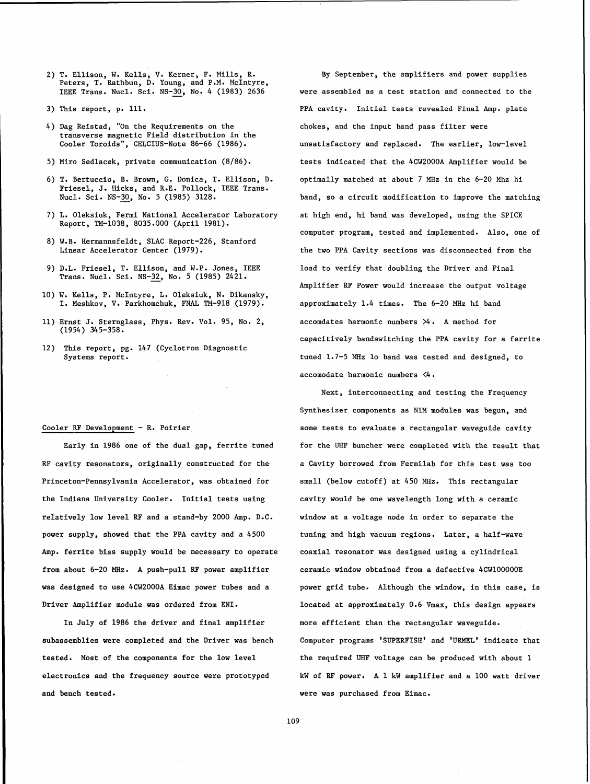- 
- 
- transverse magnetic Field distribution in the
- 
- Friesel, J. Hicks, and R.E. Pollock, IEEE Trans.<br>Nucl. Sci. NS-30, No. 5 (1985) 3128.
- Report, TM-1038, 8035.000 (April 1981).
- 8) W.B. Hermannsfeldt, SLAC Report-226, Stanford<br>Linear Accelerator Center (1979).
- Trans. Nucl. Sci. NS-32, No. 5 (1985) 2421.
- 10) W. Kells, P. McIntyre, L. Oleksiuk, N. Dikansky, I. Meshkov, V. Parkhomchuk, FNAL TM-918 (1979). approximately 1.4 times. The 6-20 MHz hi band
- 11) Ernst J. Sternglass, Phys. Rev. Vol. 95, No. 2, accomdates harmonic numbers >4. A method for (1954) 345-358.
- 12) This report, pg. 147 (Cyclotron Diagnostic<br>Systems report.

**RF** cavity resonators, originally constructed for the a Cavity borrowed from Fermilab for this test was too Princeton-Pennsylvania Accelerator, was obtained for small (below cutoff) at 450 MHz. This rectangular the Indiana University Cooler. Initial tests using cavity would be one wavelength long with a ceramic relatively low level RF and a stand-by 2000 Amp. D.C. window at a voltage node in order to separate the power supply, showed that the PPA cavity and a 4500 tuning and high vacuum regions. Later, a half-wave Amp. ferrite bias supply would be necessary to operate coaxial resonator was designed using a cylindrical from about 6-20 MHz. A push-pull RF power amplifier ceramic window obtained from a defective 4CW100000E

In July of 1986 the driver and final amplifier more efficient than the rectangular waveguide. and bench tested . were was purchased from Eimac.

2) T. Ellison, W. Kells, V. Kerner, F. Mills, R. By September, the amplifiers and power supplies Peters, T. Rathbun, D. Young, and P.M. McIntyre, IEEE Trans. Nucl. Sci. NS-30, No. 4 (1983) 2636 were assembled as a test station and connected to the 3) This report, p. 111. PPA cavity. Initial tests revealed Final Amp. plate 4) Dag Reistad, "On the Requirements on the chokes, and the input band pass filter were unsatisfactory and replaced. The earlier, low-level 5) Miro Sedlacek, private communication (8/86). tests indicated that the 4CW2000A Amplifier would be 6) T. Bertuccio, B. Brown, G. Donica, T. Ellison, D. optimally matched at about 7 MHz in the 6-20 Mhz hi band, so a circuit modification to improve the matching 7) L. Oleksiuk, Fermi National Accelerator Laboratory at high end, hi band was developed, using the SPICE computer program, tested and implemented. Also, one of the two PPA Cavity sections was disconnected from the 9) D.L. Friesel, T. Ellison, and W.P. Jones, IEEE load to verify that doubling the Driver and Final Amplifier **RF** Power would increase the output voltage capacitively bandswitching the PPA cavity for a ferrite tuned 1.7-5 MHz lo band was tested and designed, to accomodate harmonic numbers <4.

Next, interconnecting and testing the Frequency Synthesizer components as NIM modules was begun, and Cooler RF Development - R. Poirier some tests to evaluate a rectangular waveguide cavity Early in 1986 one of the dual gap, ferrite tuned for the UHF buncher were completed with the result that was designed to use 4CW2000A Eimac power tubes and a power grid tube. Although the window, in this case, is Driver Amplifier module was ordered from ENI. 10cated at approximately 0.6 Vmax, this design appears subassemblies were completed and the Driver was bench Computer programs 'SUPERFISH' and 'URMEL' indicate that tested. Most of the components for the low level the required UHF voltage can be produced with about 1 electronics and the frequency source were prototyped kW of **RF** power. A 1 kW amplifier and a 100 watt driver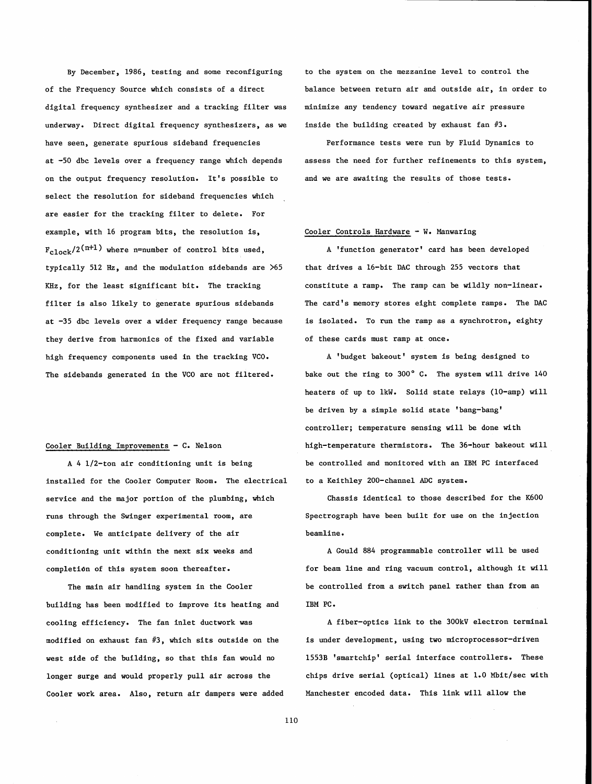By December, 1986, testing and some reconfiguring of the Frequency Source which consists of a direct digital frequency synthesizer and a tracking filter was underway. Direct digital frequency synthesizers, as we have seen, generate spurious sideband frequencies at -50 dbc levels over a frequency range which depends on the output frequency resolution. It's possible to select the resolution for sideband frequencies which are easier for the tracking filter to delete. For example, with 16 program bits, the resolution is,  $F_{c1ock}/2$ <sup>(n+1)</sup> where n=number of control bits used, typically 512 Hz, and the modulation sidebands are >65 KHz, for the least significant bit. The tracking filter is also likely to generate spurious sidebands at -35 dbc levels over a wider frequency range because they derive from harmonics of the fixed and variable high frequency components used in the tracking VCO. The sidebands generated in the VCO are not filtered.

# Cooler Building Improvements - C. Nelson

A 4 1/2-ton air conditioning unit is being installed for the Cooler Computer Room. The electrical service and the major portion of the plumbing, which runs through the Swinger experimental room, are complete. We anticipate delivery of the air conditioning unit within the next six weeks and completidn of this system soon thereafter.

The main air handling system in the Cooler building has been modified to improve its heating and cooling efficiency. The fan inlet ductwork was modified on exhaust fan #3, which sits outside on the west side of the building, so that this fan would no longer surge and would properly pull air across the Cooler work area. Also, return air dampers were added

to the system on the mezzanine level to control the balance between return air and outside air, in order to minimize any tendency toward negative air pressure inside the building created by exhaust fan  $#3$ .

Performance tests were run by Fluid Dynamics to assess the need for further refinements to this system, and we are awaiting the results of those tests.

#### Cooler Controls Hardware - W. Manwaring

A 'function generator' card has been developed that drives a 16-bit DAC through 255 vectors that constitute a ramp. The ramp can be wildly non-linear. The card's memory stores eight complete ramps. The DAC is isolated. To run the ramp as a synchrotron, eighty of these cards must ramp at once.

A 'budget bakeout' system is being designed to bake out the ring to 300' C. The system will drive 140 heaters of up to 1kW. Solid state relays (10-amp) will be driven by a simple solid state 'bang-bang' controller; temperature sensing will be done with high-temperature thermistors. The 36-hour bakeout will be controlled and monitored with an IBM PC interfaced to a Keithley 200-channel ADC system.

Chassis identical to those described for the K600 Spectrograph have been built for use on the injection beamline.

A Gould 884 programmable controller will be used for beam line and ring vacuum control, although it will be controlled from a switch panel rather than from an IBM PC.

A fiber-optics link to the 300kV electron terminal is under development, using two microprocessor-driven 1553B 'smartchip' serial interface controllers. These chips drive serial (optical) lines at 1.0 Mbit/sec with Manchester encoded data. This link will allow the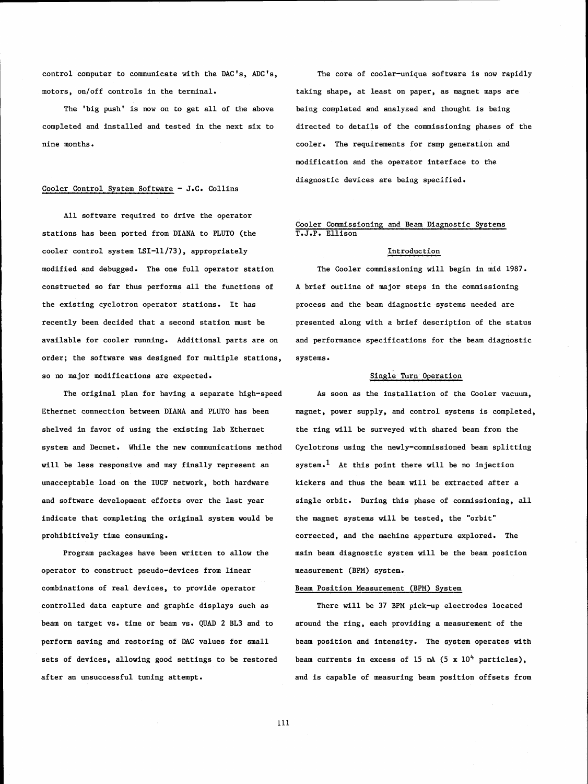control computer to communicate with the DAC's, ADC's, motors, on/off controls in the terminal.

The 'big push' is now on to get all of the above completed and installed and tested in the next six to nine months.

# Cooler Control System Software - J.C. Collins

All software required to drive the operator stations has been ported from DIANA to PLUTO (the cooler control system LSI-11/73), appropriately modified and debugged. The one full operator station constructed so far thus performs all the functions of the existing cyclotron operator stations. It has recently been decided that a second station must be available for cooler running. Additional parts are on order; the software was designed for multiple stations, so no major modifications are expected.

The original plan for having a separate high-speed Ethernet connection between DIANA and PLUTO has been shelved in favor of using the existing lab Ethernet system and Decnet. While the new communications method will be less responsive and may finally represent an unacceptable load on the IUCF network, both hardware and software development efforts over the last year indicate that completing the original system would be prohibitively time consuming.

Program packages have been written to allow the operator to construct pseudo-devices from linear combinations of real devices, to provide operator controlled data capture and graphic displays such as beam on target vs. time or beam vs. QUAD 2 BL3 and to perform saving and restoring of DAC values for small sets of devices, allowing good settings to be restored after an unsuccessful tuning attempt.

The core of cooler-unique software is now rapidly taking shape, at least on paper, as magnet maps are being completed and analyzed and thought is being directed to details of the commissioning phases of the cooler. The requirements for ramp generation and modification and the operator interface to the diagnostic devices are being specified.

### Cooler Commissioning and Beam Diagnostic Systems T.J.P. Ellison

### Introduction

The Cooler commissioning will begin in mid 1987. A brief outline of major steps in the commissioning process and the beam diagnostic systems needed are presented along with a brief description of the status and performance specifications for the beam diagnostic systems.

# Single Turn Operation

As soon as the installation of the Cooler vacuum, magnet, power supply, and control systems is completed, the ring will be surveyed with shared beam from the Cyclotrons using the newly-commissioned beam splitting system.<sup>1</sup> At this point there will be no injection kickers and thus the beam will be extracted after a single orbit. During this phase of commissioning, all the magnet systems will be tested, the "orbit" corrected, and the machine apperture explored. The main beam diagnostic system will be the beam position measurement (BPM) system.

### Beam Position Measurement (BPM) System

There will be 37 BPM pick-up electrodes located around the ring, each providing a measurement of the beam position and intensity. The system operates with beam currents in excess of 15  $nA$  (5 x 10<sup>4</sup> particles), and is capable of measuring beam position offsets from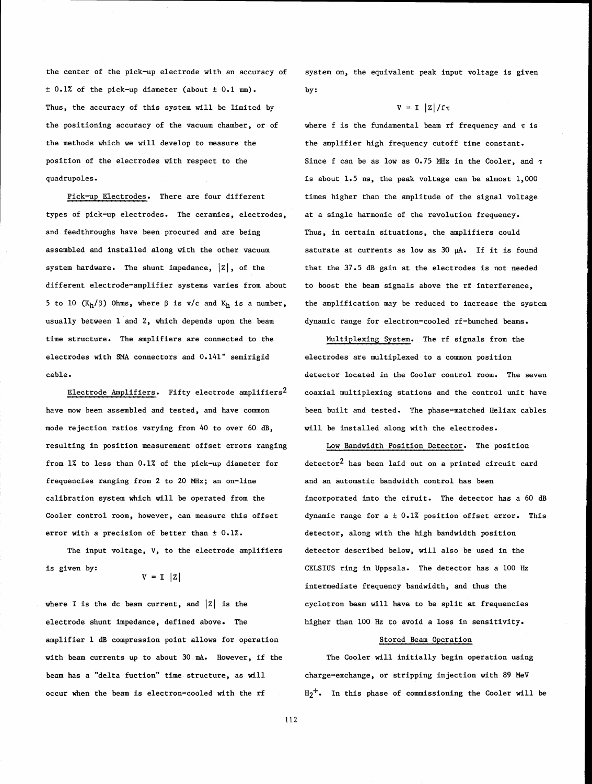$\pm$  0.1% of the pick-up diameter (about  $\pm$  0.1 mm). by: Thus, the accuracy of this system will be limited by  $V = I / |z| / f \tau$ the positioning accuracy of the vacuum chamber, or of where f is the fundamental beam rf frequency and  $\tau$  is the methods which we will develop to measure the position of the electrodes with respect to the quadrupoles. is about 1.5 ns, the peak voltage can be almost 1,000

types of pick-up electrodes. The ceramics, electrodes, at a single harmonic of the revolution frequency. and feedthroughs have been procured and are being Thus, in certain situations, the amplifiers could assembled and installed along with the other vacuum saturate at currents as low as 30 **pA.** If it is found system hardware. The shunt impedance,  $|z|$ , of the that the 37.5 dB gain at the electrodes is not needed different electrode-amplifier systems varies from about to boost the beam signals above the rf interference, 5 to 10  $(K_h/\beta)$  Ohms, where  $\beta$  is v/c and  $K_h$  is a number, the amplification may be reduced to increase the system usually between 1 and 2, which depends upon the beam dynamic range for electron-cooled rf-bunched beams. time structure. The amplifiers are connected to the Multiplexing System. The rf signals from the electrodes with *SMA* connectors and 0.141" semirigid electrodes are multiplexed to a common position cable. detector located in the Cooler control room. The seven

mode rejection ratios varying from 40 to over 60 dB, will be installed along with the electrodes. resulting in position measurement offset errors ranging Low Bandwidth Position Detector. The position from  $1\%$  to less than 0.1% of the pick-up diameter for detector<sup>2</sup> has been laid out on a printed circuit card frequencies ranging from 2 to 20 MHz; an on-line and an automatic bandwidth control has been calibration system which will be operated from the incorporated into the ciruit. The detector has a 60 dB Cooler control room, however, can measure this offset dynamic range for  $a \pm 0.1\%$  position offset error. This error with a precision of better than  $\pm 0.1\%$ .  $\pm 0.1\%$  detector, along with the high bandwidth position

is given by:

electrode shunt impedance, defined above. The higher than 100 Hz to avoid a loss in sensitivity. amplifier 1 dB compression point allows for operation Stored Beam Operation with beam currents up to about 30 **mA.** However, if the The Cooler will initially begin operation using beam has a "delta fuction" time structure, as will charge-exchange, or stripping injection with 89 MeV occur when the beam is electron-cooled with the rf  $H_2^+$ . In this phase of commissioning the Cooler will be

the center of the pick-up electrode with an accuracy of system on, the equivalent peak input voltage is given

the amplifier high frequency cutoff time constant. Since f can be as low as 0.75 MHz in the Cooler, and  $\tau$ Pick-up Electrodes. There are four different times higher than the amplitude of the signal voltage

Electrode Amplifiers. Fifty electrode amplifiers<sup>2</sup> coaxial multiplexing stations and the control unit have have now been assembled and tested, and have common been built and tested. The phase-matched Heliax cables

The input voltage, V, to the electrode amplifiers detector described below, will also be used in the V = I  $|Z|$ <br>V = I  $|Z|$ intermediate frequency bandwidth, and thus the where I is the dc beam current, and  $|z|$  is the cyclotron beam will have to be split at frequencies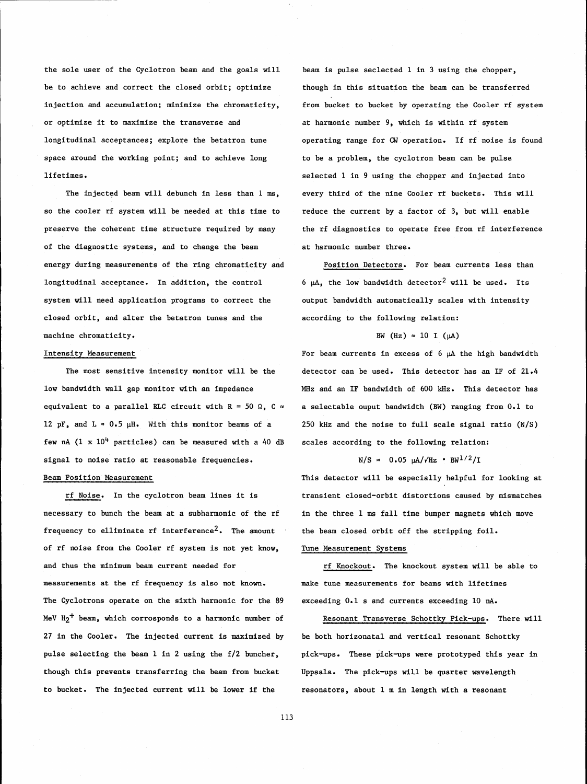the sole user of the Cyclotron beam and the goals will be to achieve and correct the closed orbit; optimize injection and accumulation; minimize the chromaticity, or optimize it to maximize the transverse and longitudinal acceptances; explore the betatron tune space around the working point; and to achieve long lifetimes.

The injected beam will debunch in less than 1 **ms,**  so the cooler rf system will be needed at this time to reduce the current by a factor of 3, but will enable of the diagnostic systems, and to change the beam at harmonic number three. energy during measurements of the ring chromaticity and longitudinal acceptance. In addition, the control system will need application programs to correct the closed orbit, and alter the betatron tunes and the machine chromaticity.

## Intensity Measurement

The most sensitive intensity monitor will be the low bandwidth wall gap monitor with an impedance equivalent to a parallel RLC circuit with  $R = 50$   $\Omega$ ,  $C \approx$ 12 pF, and  $L \approx 0.5$   $\mu$ H. With this monitor beams of a few  $nA$  (1 x 10<sup>4</sup> particles) can be measured with a 40 dB signal to noise ratio at reasonable frequencies.

# Beam Position Measurement

rf Noise. In the cyclotron beam lines it is necessary to bunch the beam at a subharmonic of the rf frequency to elliminate rf interference<sup>2</sup>. The amount of rf noise from the Cooler rf system is not yet know, and thus the minimum beam current needed for measurements at the rf frequency is also not known. The Cyclotrons operate on the sixth harmonic for the 89 MeV  $H_2$ <sup>+</sup> beam, which corrosponds to a harmonic number of 27 in the Cooler. The injected current is maximized by pulse selecting the beam 1 in 2 using the £12 buncher, though this prevents transferring the beam from bucket **to** bucket. The injected current will be lower if the

beam is pulse seclected 1 in 3 using the chopper, though in this situation the beam can be transferred from bucket to bucket by operating the Cooler rf system at harmonic number 9, which is within rf system operating range for **CW** operation. If rf noise is found to be a problem, the cyclotron beam can be pulse selected 1 in 9 using the chopper and injected into every third of the nine Cooler rf buckets. This will preserve the coherent time structure required by many the rf diagnostics to operate free from rf interference

> Position Detectors. For beam currents less than 6  $\mu$ A, the low bandwidth detector<sup>2</sup> will be used. Its output bandwidth automatically scales with intensity according to the following relation:

### BW (Hz)  $\approx$  10 I ( $\mu$ A)

For beam currents in excess of 6 **pA** the high bandwidth detector can be used. This detector has an IF of 21.4 MHz and an IF bandwidth of 600 kHz. This detector has a selectable ouput bandwidth (BW) ranging from 0.1 to 250 kHz and the noise to full scale signal ratio (N/s) scales according to the following relation:

 $N/S \approx 0.05 \mu A/\sqrt{Hz} \cdot BW^{1/2}/I$ 

This detector will be especially helpful for looking at transient closed-orbit distortions caused by mismatches in the three 1 ms fall time bumper magnets which move the beam closed orbit off the stripping foil.

### Tune Measurement Systems

rf Knockout. The knockout system will be able to make tune measurements for beams with lifetimes exceeding 0.1 s and currents exceeding 10 **nA.** 

Resonant Transverse Schottky Pick-ups. There will be both horizonatal and vertical resonant Schottky pick-ups. These pick-ups were prototyped this year in Uppsala. The pick-ups will be quarter wavelength resonators, about 1 m in length with a resonant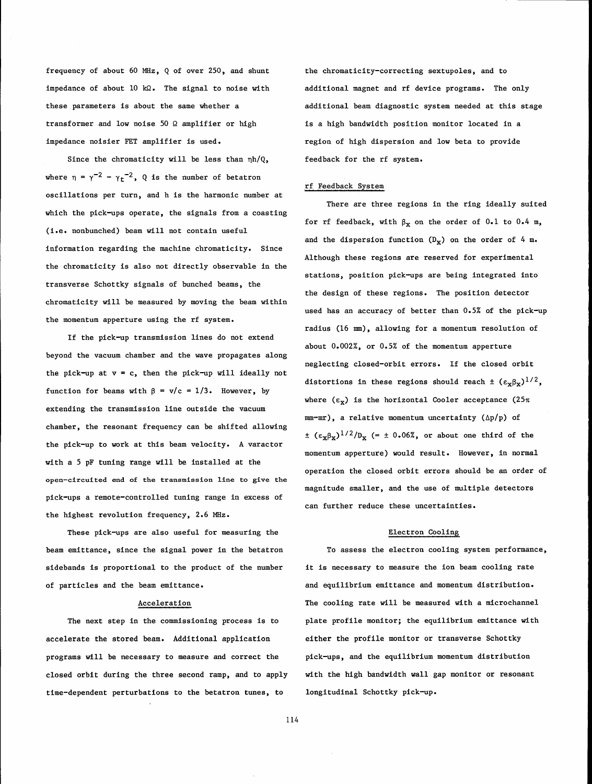frequency of about 60 MHz, Q of over 250, and shunt the chromaticity-correcting sextupoles, and to impedance of about 10 kΩ. The signal to noise with additional magnet and rf device programs. The only transformer and low noise 50  $\Omega$  amplifier or high is a high bandwidth position monitor located in a impedance noisier FET amplifier is used. region of high dispersion and low beta to provide

Since the chromaticity will be less than  $\eta h/Q$ , feedback for the rf system. where  $\eta = \gamma^{-2} - \gamma_t^{-2}$ , Q is the number of betatron oscillations per turn, and h is the harmonic number at which the pick-ups operate, the signals from a coasting (i.e. nonbunched) beam will not contain useful information regarding the machine chromaticity. Since the chromaticity is also not directly observable in the transverse Schottky signals of bunched beams, the chromaticity will be measured by moving the beam within the momentum apperture using the rf system.

If the pick-up transmission lines do not extend beyond the vacuum chamber and the wave propagates along the pick-up at  $v = c$ , then the pick-up will ideally not function for beams with  $\beta = v/c = 1/3$ . However, by extending the transmission line outside the vacuum chamber, the resonant frequency can be shifted allowing the pick-up to work at this beam velocity. A varactor with a 5 pF tuning range will be installed at the **open-circuited end of the transmission line to give the**  pick-ups a remote-controlled tuning range in excess of the highest revolution frequency, 2.6 MHz.

These pick-ups are also useful for measuring the Electron Cooling beam emittance, since the signal power in the betatron To assess the electron cooling system performance, sidebands is proportional to the product of the number it is necessary to measure the ion beam cooling rate of particles and the beam emittance.  $\qquad \qquad \qquad$  and equilibrium emittance and momentum distribution.

accelerate the stored beam. Additional application either the profile monitor or transverse Schottky programs will be necessary to measure and correct the pick-ups, and the equilibrium momentum distribution closed orbit during the three second ramp, and to apply with the high bandwidth wall gap monitor or resonant time-dependent perturbations to the betatron tunes, to longitudinal Schottky pick-up.

these parameters is about the same whether a additional beam diagnostic system needed at this stage

# rf Feedback System

There are three regions in the ring ideally suited for rf feedback, with  $\beta_X$  on the order of 0.1 to 0.4 m, and the dispersion function  $(D_x)$  on the order of 4 m. Although these regions are reserved for experimental stations, position pick-ups are being integrated into the design of these regions. The position detector used has an accuracy of better than  $0.5%$  of the pick-up radius (16 m), allowing for a momentum resolution of about 0.002%, or 0.5% of the momentum apperture neglecting closed-orbit errors. If the closed orbit distortions in these regions should reach  $\pm$   $(\epsilon_{\mathbf{x}}\beta_{\mathbf{x}})^{1/2}$ , where  $(\epsilon_x)$  is the horizontal Cooler acceptance  $(25\pi)$  $mm-mr$ ), a relative momentum uncertainty ( $\Delta p/p$ ) of  $\pm$  ( $\epsilon_{\mathbf{x}}\beta_{\mathbf{x}}$ )<sup>1/2</sup>/D<sub>x</sub> (=  $\pm$  0.06%, or about one third of the momentum apperture) would result. However, in normal operation the closed orbit errors should be an order of magnitude smaller, and the use of multiple detectors can further reduce these uncertainties.

Acceleration The cooling rate will be measured with a microchannel The next step in the commissioning process is to plate profile monitor; the equilibrium emittance with